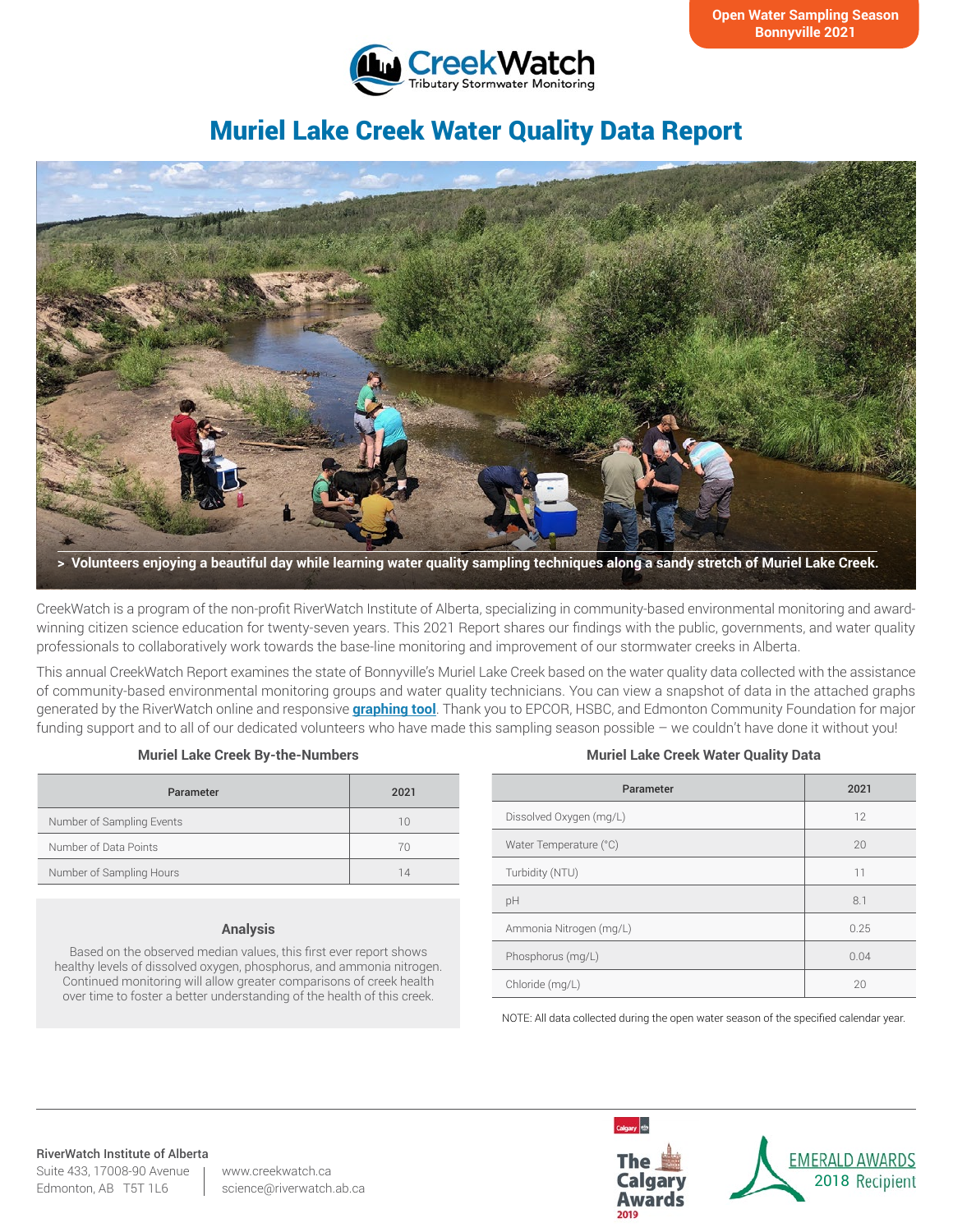

# Muriel Lake Creek Water Quality Data Report



CreekWatch is a program of the non-profit RiverWatch Institute of Alberta, specializing in community-based environmental monitoring and awardwinning citizen science education for twenty-seven years. This 2021 Report shares our findings with the public, governments, and water quality professionals to collaboratively work towards the base-line monitoring and improvement of our stormwater creeks in Alberta.

This annual CreekWatch Report examines the state of Bonnyville's Muriel Lake Creek based on the water quality data collected with the assistance of community-based environmental monitoring groups and water quality technicians. You can view a snapshot of data in the attached graphs generated by the RiverWatch online and responsive **[graphing tool](http://www.riverwatch.ab.ca/index.php/science/data)**. Thank you to EPCOR, HSBC, and Edmonton Community Foundation for major funding support and to all of our dedicated volunteers who have made this sampling season possible – we couldn't have done it without you!

#### **Muriel Lake Creek By-the-Numbers**

| Parameter                 | 2021 |
|---------------------------|------|
| Number of Sampling Events | 10   |
| Number of Data Points     | 70   |
| Number of Sampling Hours  | 14   |

#### **Analysis**

Based on the observed median values, this first ever report shows healthy levels of dissolved oxygen, phosphorus, and ammonia nitrogen. Continued monitoring will allow greater comparisons of creek health over time to foster a better understanding of the health of this creek.

#### **Muriel Lake Creek Water Quality Data**

| Parameter               | 2021 |
|-------------------------|------|
| Dissolved Oxygen (mg/L) | 12   |
| Water Temperature (°C)  | 20   |
| Turbidity (NTU)         | 11   |
| pH                      | 8.1  |
| Ammonia Nitrogen (mg/L) | 0.25 |
| Phosphorus (mg/L)       | 0.04 |
| Chloride (mg/L)         | 20   |

NOTE: All data collected during the open water season of the specified calendar year.

#### RiverWatch Institute of Alberta

Suite 433, 17008-90 Avenue Edmonton, AB T5T 1L6

www.creekwatch.ca science@riverwatch.ab.ca